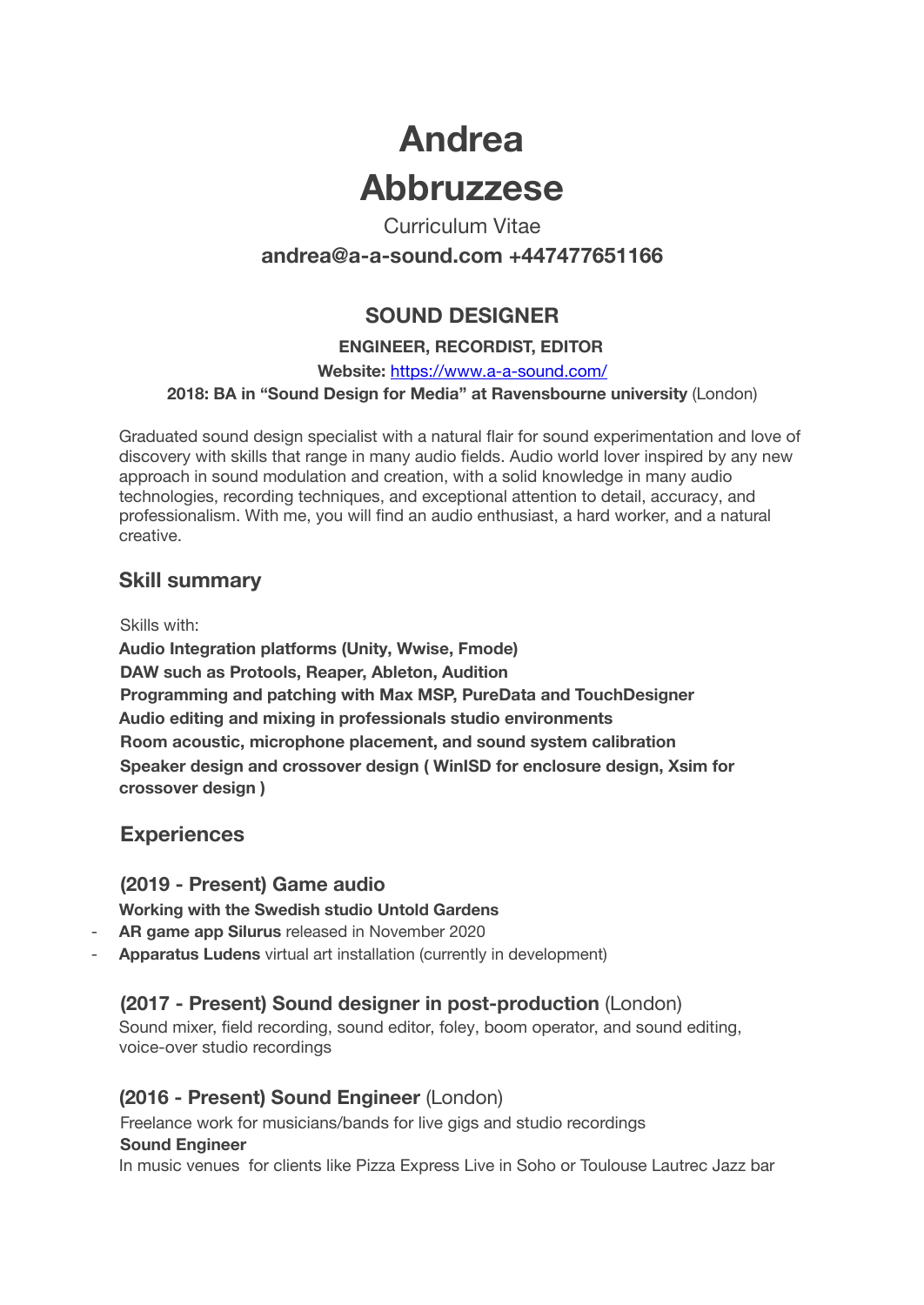# **Andrea Abbruzzese**

Curriculum Vitae **andrea@a-a-sound.com +447477651166**

# **SOUND DESIGNER**

## **ENGINEER, RECORDIST, EDITOR**

#### **Website:** https://www.a-a-sound.com/ **2018: BA in "Sound Design for Media" at Ravensbourne university** (London)

Graduated sound design specialist with a natural flair for sound experimentation and love of discovery with skills that range in many audio fields. Audio world lover inspired by any new approach in sound modulation and creation, with a solid knowledge in many audio technologies, recording techniques, and exceptional attention to detail, accuracy, and professionalism. With me, you will find an audio enthusiast, a hard worker, and a natural creative.

## **Skill summary**

Skills with:

**Audio Integration platforms (Unity, Wwise, Fmode) DAW such as Protools, Reaper, Ableton, Audition Programming and patching with Max MSP, PureData and TouchDesigner Audio editing and mixing in professionals studio environments Room acoustic, microphone placement, and sound system calibration Speaker design and crossover design ( WinISD for enclosure design, Xsim for crossover design )**

## **Experiences**

## **(2019 - Present) Game audio**

**Working with the Swedish studio Untold Gardens**

- **AR game app Silurus** released in November 2020
- **Apparatus Ludens** virtual art installation (currently in development)

## **(2017 - Present) Sound designer in post-production** (London)

Sound mixer, field recording, sound editor, foley, boom operator, and sound editing, voice-over studio recordings

## **(2016 - Present) Sound Engineer** (London)

Freelance work for musicians/bands for live gigs and studio recordings **Sound Engineer**

In music venues for clients like Pizza Express Live in Soho or Toulouse Lautrec Jazz bar